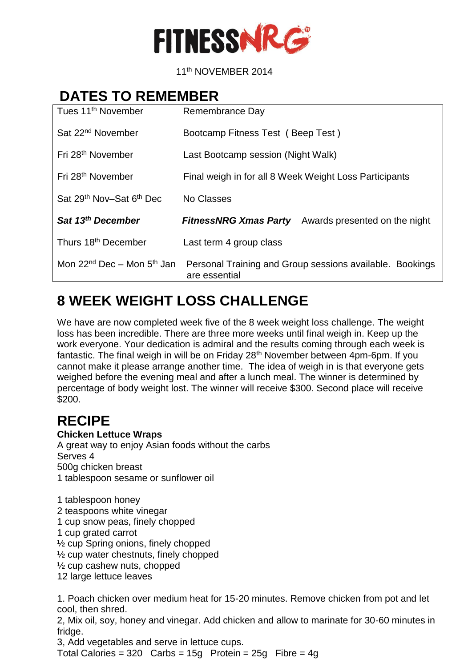

 $11$ 11<sup>th</sup> NOVEMBER 2014

## **DATES TO REMEMBER**

| Tues 11 <sup>th</sup> November                   | Remembrance Day                                                           |
|--------------------------------------------------|---------------------------------------------------------------------------|
| Sat 22 <sup>nd</sup> November                    | Bootcamp Fitness Test (Beep Test)                                         |
| Fri 28 <sup>th</sup> November                    | Last Bootcamp session (Night Walk)                                        |
| Fri 28 <sup>th</sup> November                    | Final weigh in for all 8 Week Weight Loss Participants                    |
| Sat 29 <sup>th</sup> Nov-Sat 6 <sup>th</sup> Dec | No Classes                                                                |
| Sat 13 <sup>th</sup> December                    | Awards presented on the night<br><b>FitnessNRG Xmas Party</b>             |
| Thurs 18th December                              | Last term 4 group class                                                   |
| Mon $22^{nd}$ Dec – Mon $5^{th}$ Jan             | Personal Training and Group sessions available. Bookings<br>are essential |

# **8 WEEK WEIGHT LOSS CHALLENGE**

We have are now completed week five of the 8 week weight loss challenge. The weight loss has been incredible. There are three more weeks until final weigh in. Keep up the work everyone. Your dedication is admiral and the results coming through each week is fantastic. The final weigh in will be on Friday 28<sup>th</sup> November between 4pm-6pm. If you cannot make it please arrange another time. The idea of weigh in is that everyone gets weighed before the evening meal and after a lunch meal. The winner is determined by percentage of body weight lost. The winner will receive \$300. Second place will receive \$200.

### **RECIPE**

#### **Chicken Lettuce Wraps**

A great way to enjoy Asian foods without the carbs Serves 4 500g chicken breast 1 tablespoon sesame or sunflower oil

1 tablespoon honey 2 teaspoons white vinegar 1 cup snow peas, finely chopped 1 cup grated carrot ½ cup Spring onions, finely chopped ½ cup water chestnuts, finely chopped ½ cup cashew nuts, chopped 12 large lettuce leaves

1. Poach chicken over medium heat for 15-20 minutes. Remove chicken from pot and let cool, then shred.

2, Mix oil, soy, honey and vinegar. Add chicken and allow to marinate for 30-60 minutes in fridge.

3, Add vegetables and serve in lettuce cups.

Total Calories =  $320$  Carbs =  $15g$  Protein =  $25g$  Fibre =  $4g$